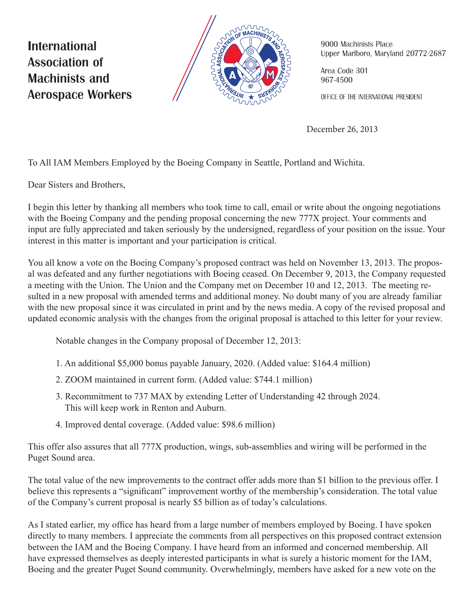**International Association of Machinists and Aerospace Workers** 



9000 Machinists Place Upper Marlboro, Maryland 20772-2687

Area Code 301 967-4500

OFFICE OF THE INTERNATIONAL PRESIDENT

December 26, 2013

To All IAM Members Employed by the Boeing Company in Seattle, Portland and Wichita.

Dear Sisters and Brothers,

I begin this letter by thanking all members who took time to call, email or write about the ongoing negotiations with the Boeing Company and the pending proposal concerning the new 777X project. Your comments and input are fully appreciated and taken seriously by the undersigned, regardless of your position on the issue. Your interest in this matter is important and your participation is critical.

You all know a vote on the Boeing Company's proposed contract was held on November 13, 2013. The proposal was defeated and any further negotiations with Boeing ceased. On December 9, 2013, the Company requested a meeting with the Union. The Union and the Company met on December 10 and 12, 2013. The meeting resulted in a new proposal with amended terms and additional money. No doubt many of you are already familiar with the new proposal since it was circulated in print and by the news media. A copy of the revised proposal and updated economic analysis with the changes from the original proposal is attached to this letter for your review.

Notable changes in the Company proposal of December 12, 2013:

- 1. An additional \$5,000 bonus payable January, 2020. (Added value: \$164.4 million)
- 2. ZOOM maintained in current form. (Added value: \$744.1 million)
- 3. Recommitment to 737 MAX by extending Letter of Understanding 42 through 2024. This will keep work in Renton and Auburn.
- 4. Improved dental coverage. (Added value: \$98.6 million)

This offer also assures that all 777X production, wings, sub-assemblies and wiring will be performed in the Puget Sound area.

The total value of the new improvements to the contract offer adds more than \$1 billion to the previous offer. I believe this represents a "significant" improvement worthy of the membership's consideration. The total value of the Company's current proposal is nearly \$5 billion as of today's calculations.

As I stated earlier, my office has heard from a large number of members employed by Boeing. I have spoken directly to many members. I appreciate the comments from all perspectives on this proposed contract extension between the IAM and the Boeing Company. I have heard from an informed and concerned membership. All have expressed themselves as deeply interested participants in what is surely a historic moment for the IAM, Boeing and the greater Puget Sound community. Overwhelmingly, members have asked for a new vote on the